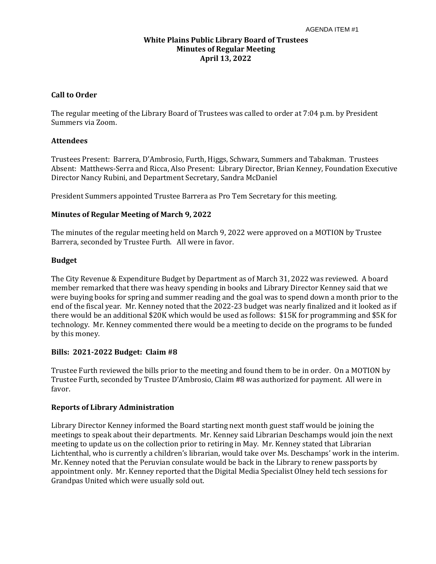# **White Plains Public Library Board of Trustees Minutes of Regular Meeting April 13, 2022**

#### **Call to Order**

The regular meeting of the Library Board of Trustees was called to order at 7:04 p.m. by President Summers via Zoom.

# **Attendees**

Trustees Present: Barrera, D'Ambrosio, Furth, Higgs, Schwarz, Summers and Tabakman. Trustees Absent: Matthews-Serra and Ricca, Also Present: Library Director, Brian Kenney, Foundation Executive Director Nancy Rubini, and Department Secretary, Sandra McDaniel

President Summers appointed Trustee Barrera as Pro Tem Secretary for this meeting.

# **Minutes of Regular Meeting of March 9, 2022**

The minutes of the regular meeting held on March 9, 2022 were approved on a MOTION by Trustee Barrera, seconded by Trustee Furth. All were in favor.

# **Budget**

The City Revenue & Expenditure Budget by Department as of March 31, 2022 was reviewed. A board member remarked that there was heavy spending in books and Library Director Kenney said that we were buying books for spring and summer reading and the goal was to spend down a month prior to the end of the fiscal year. Mr. Kenney noted that the 2022-23 budget was nearly finalized and it looked as if there would be an additional \$20K which would be used as follows: \$15K for programming and \$5K for technology. Mr. Kenney commented there would be a meeting to decide on the programs to be funded by this money.

# **Bills: 2021-2022 Budget: Claim #8**

Trustee Furth reviewed the bills prior to the meeting and found them to be in order. On a MOTION by Trustee Furth, seconded by Trustee D'Ambrosio, Claim #8 was authorized for payment. All were in favor.

# **Reports of Library Administration**

Library Director Kenney informed the Board starting next month guest staff would be joining the meetings to speak about their departments. Mr. Kenney said Librarian Deschamps would join the next meeting to update us on the collection prior to retiring in May. Mr. Kenney stated that Librarian Lichtenthal, who is currently a children's librarian, would take over Ms. Deschamps' work in the interim. Mr. Kenney noted that the Peruvian consulate would be back in the Library to renew passports by appointment only. Mr. Kenney reported that the Digital Media Specialist Olney held tech sessions for Grandpas United which were usually sold out.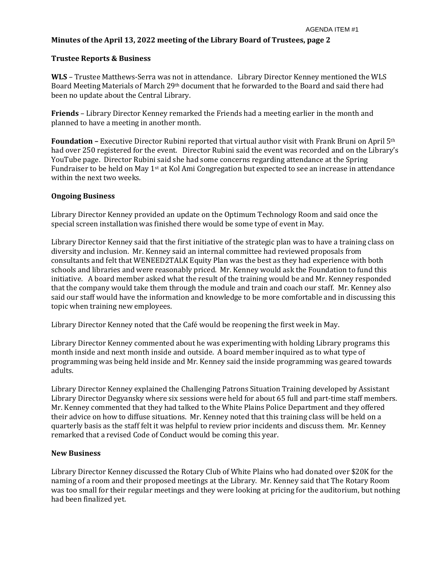# **Minutes of the April 13, 2022 meeting of the Library Board of Trustees, page 2**

#### **Trustee Reports & Business**

**WLS** – Trustee Matthews-Serra was not in attendance. Library Director Kenney mentioned the WLS Board Meeting Materials of March 29th document that he forwarded to the Board and said there had been no update about the Central Library.

**Friends** – Library Director Kenney remarked the Friends had a meeting earlier in the month and planned to have a meeting in another month.

**Foundation –** Executive Director Rubini reported that virtual author visit with Frank Bruni on April 5th had over 250 registered for the event. Director Rubini said the event was recorded and on the Library's YouTube page. Director Rubini said she had some concerns regarding attendance at the Spring Fundraiser to be held on May 1st at Kol Ami Congregation but expected to see an increase in attendance within the next two weeks.

#### **Ongoing Business**

Library Director Kenney provided an update on the Optimum Technology Room and said once the special screen installation was finished there would be some type of event in May.

Library Director Kenney said that the first initiative of the strategic plan was to have a training class on diversity and inclusion. Mr. Kenney said an internal committee had reviewed proposals from consultants and felt that WENEED2TALK Equity Plan was the best as they had experience with both schools and libraries and were reasonably priced. Mr. Kenney would ask the Foundation to fund this initiative. A board member asked what the result of the training would be and Mr. Kenney responded that the company would take them through the module and train and coach our staff. Mr. Kenney also said our staff would have the information and knowledge to be more comfortable and in discussing this topic when training new employees.

Library Director Kenney noted that the Café would be reopening the first week in May.

Library Director Kenney commented about he was experimenting with holding Library programs this month inside and next month inside and outside. A board member inquired as to what type of programming was being held inside and Mr. Kenney said the inside programming was geared towards adults.

Library Director Kenney explained the Challenging Patrons Situation Training developed by Assistant Library Director Degyansky where six sessions were held for about 65 full and part-time staff members. Mr. Kenney commented that they had talked to the White Plains Police Department and they offered their advice on how to diffuse situations. Mr. Kenney noted that this training class will be held on a quarterly basis as the staff felt it was helpful to review prior incidents and discuss them. Mr. Kenney remarked that a revised Code of Conduct would be coming this year.

#### **New Business**

Library Director Kenney discussed the Rotary Club of White Plains who had donated over \$20K for the naming of a room and their proposed meetings at the Library. Mr. Kenney said that The Rotary Room was too small for their regular meetings and they were looking at pricing for the auditorium, but nothing had been finalized yet.